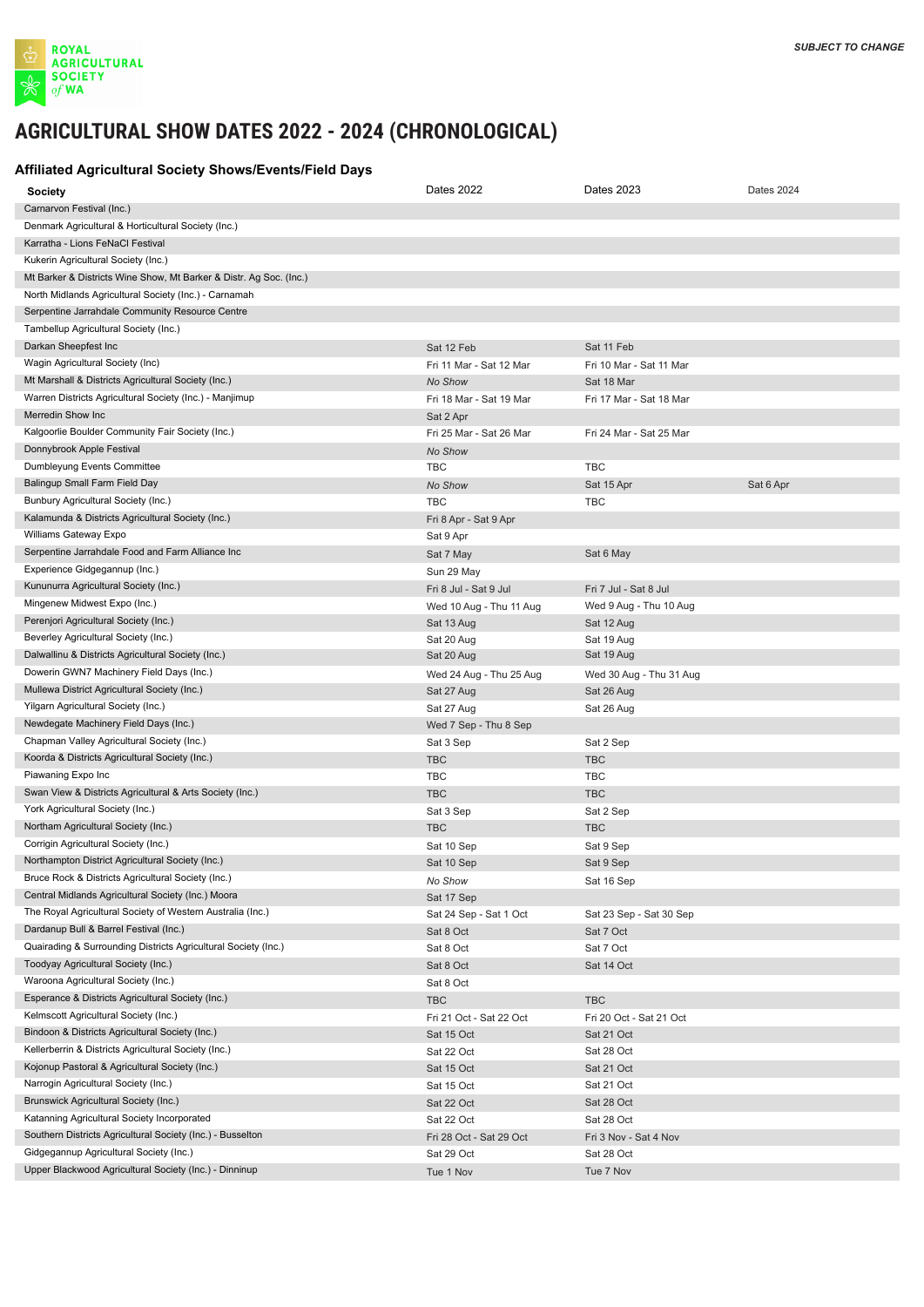

## AGRICULTURAL SHOW DATES 2021 - 2023 CHRONOLOGICAL AGRICULTURAL SHOW DATES 2021 - 2023 CHRONOLOGICAL AGRICULTURAL SHOW DATES 2021 - 2023 CHRONOLOGICAL **AGRICULTURAL SHOW DATES 2022 - 2024 (CHRONOLOGICAL)**

## **Affiliated Agricultural Society Shows/Events/Field Days Affiliated Agricultural Society Shows/Events/Field Days Affiliated Agricultural Society Shows/Events/Field Days**

| <b>Society</b>                                                     | Dates 2022              | Dates 2023              | <b>Dates 2024</b> |
|--------------------------------------------------------------------|-------------------------|-------------------------|-------------------|
| Carnarvon Festival (Inc.)                                          |                         |                         |                   |
| Denmark Agricultural & Horticultural Society (Inc.)                |                         |                         |                   |
| Karratha - Lions FeNaCl Festival                                   |                         |                         |                   |
| Kukerin Agricultural Society (Inc.)                                |                         |                         |                   |
| Mt Barker & Districts Wine Show, Mt Barker & Distr. Ag Soc. (Inc.) |                         |                         |                   |
| North Midlands Agricultural Society (Inc.) - Carnamah              |                         |                         |                   |
| Serpentine Jarrahdale Community Resource Centre                    |                         |                         |                   |
| Tambellup Agricultural Society (Inc.)                              |                         |                         |                   |
| Darkan Sheepfest Inc                                               | Sat 12 Feb              | Sat 11 Feb              |                   |
| Wagin Agricultural Society (Inc)                                   | Fri 11 Mar - Sat 12 Mar | Fri 10 Mar - Sat 11 Mar |                   |
| Mt Marshall & Districts Agricultural Society (Inc.)                | No Show                 | Sat 18 Mar              |                   |
| Warren Districts Agricultural Society (Inc.) - Manjimup            | Fri 18 Mar - Sat 19 Mar | Fri 17 Mar - Sat 18 Mar |                   |
| Merredin Show Inc                                                  | Sat 2 Apr               |                         |                   |
| Kalgoorlie Boulder Community Fair Society (Inc.)                   | Fri 25 Mar - Sat 26 Mar | Fri 24 Mar - Sat 25 Mar |                   |
| Donnybrook Apple Festival                                          | No Show                 |                         |                   |
| Dumbleyung Events Committee                                        | <b>TBC</b>              | <b>TBC</b>              |                   |
| Balingup Small Farm Field Day                                      | No Show                 | Sat 15 Apr              |                   |
| Bunbury Agricultural Society (Inc.)                                |                         |                         | Sat 6 Apr         |
| Kalamunda & Districts Agricultural Society (Inc.)                  | <b>TBC</b>              | <b>TBC</b>              |                   |
| Williams Gateway Expo                                              | Fri 8 Apr - Sat 9 Apr   |                         |                   |
|                                                                    | Sat 9 Apr               |                         |                   |
| Serpentine Jarrahdale Food and Farm Alliance Inc                   | Sat 7 May               | Sat 6 May               |                   |
| Experience Gidgegannup (Inc.)                                      | Sun 29 May              |                         |                   |
| Kununurra Agricultural Society (Inc.)                              | Fri 8 Jul - Sat 9 Jul   | Fri 7 Jul - Sat 8 Jul   |                   |
| Mingenew Midwest Expo (Inc.)                                       | Wed 10 Aug - Thu 11 Aug | Wed 9 Aug - Thu 10 Aug  |                   |
| Perenjori Agricultural Society (Inc.)                              | Sat 13 Aug              | Sat 12 Aug              |                   |
| Beverley Agricultural Society (Inc.)                               | Sat 20 Aug              | Sat 19 Aug              |                   |
| Dalwallinu & Districts Agricultural Society (Inc.)                 | Sat 20 Aug              | Sat 19 Aug              |                   |
| Dowerin GWN7 Machinery Field Days (Inc.)                           | Wed 24 Aug - Thu 25 Aug | Wed 30 Aug - Thu 31 Aug |                   |
| Mullewa District Agricultural Society (Inc.)                       | Sat 27 Aug              | Sat 26 Aug              |                   |
| Yilgarn Agricultural Society (Inc.)                                | Sat 27 Aug              | Sat 26 Aug              |                   |
| Newdegate Machinery Field Days (Inc.)                              | Wed 7 Sep - Thu 8 Sep   |                         |                   |
| Chapman Valley Agricultural Society (Inc.)                         | Sat 3 Sep               | Sat 2 Sep               |                   |
| Koorda & Districts Agricultural Society (Inc.)                     | <b>TBC</b>              | <b>TBC</b>              |                   |
| Piawaning Expo Inc                                                 | <b>TBC</b>              | <b>TBC</b>              |                   |
| Swan View & Districts Agricultural & Arts Society (Inc.)           | <b>TBC</b>              | <b>TBC</b>              |                   |
| York Agricultural Society (Inc.)                                   | Sat 3 Sep               | Sat 2 Sep               |                   |
| Northam Agricultural Society (Inc.)                                | <b>TBC</b>              | <b>TBC</b>              |                   |
| Corrigin Agricultural Society (Inc.)                               | Sat 10 Sep              | Sat 9 Sep               |                   |
| Northampton District Agricultural Society (Inc.)                   | Sat 10 Sep              | Sat 9 Sep               |                   |
| Bruce Rock & Districts Agricultural Society (Inc.)                 | No Show                 | Sat 16 Sep              |                   |
| Central Midlands Agricultural Society (Inc.) Moora                 | Sat 17 Sep              |                         |                   |
| The Royal Agricultural Society of Western Australia (Inc.)         | Sat 24 Sep - Sat 1 Oct  | Sat 23 Sep - Sat 30 Sep |                   |
| Dardanup Bull & Barrel Festival (Inc.)                             | Sat 8 Oct               | Sat 7 Oct               |                   |
| Quairading & Surrounding Districts Agricultural Society (Inc.)     | Sat 8 Oct               | Sat 7 Oct               |                   |
| Toodyay Agricultural Society (Inc.)                                | Sat 8 Oct               | Sat 14 Oct              |                   |
| Waroona Agricultural Society (Inc.)                                | Sat 8 Oct               |                         |                   |
| Esperance & Districts Agricultural Society (Inc.)                  | <b>TBC</b>              | <b>TBC</b>              |                   |
| Kelmscott Agricultural Society (Inc.)                              | Fri 21 Oct - Sat 22 Oct | Fri 20 Oct - Sat 21 Oct |                   |
| Bindoon & Districts Agricultural Society (Inc.)                    | Sat 15 Oct              | Sat 21 Oct              |                   |
| Kellerberrin & Districts Agricultural Society (Inc.)               | Sat 22 Oct              | Sat 28 Oct              |                   |
| Kojonup Pastoral & Agricultural Society (Inc.)                     | Sat 15 Oct              | Sat 21 Oct              |                   |
| Narrogin Agricultural Society (Inc.)                               | Sat 15 Oct              | Sat 21 Oct              |                   |
| Brunswick Agricultural Society (Inc.)                              | Sat 22 Oct              | Sat 28 Oct              |                   |
| Katanning Agricultural Society Incorporated                        | Sat 22 Oct              | Sat 28 Oct              |                   |
| Southern Districts Agricultural Society (Inc.) - Busselton         | Fri 28 Oct - Sat 29 Oct | Fri 3 Nov - Sat 4 Nov   |                   |
| Gidgegannup Agricultural Society (Inc.)                            | Sat 29 Oct              | Sat 28 Oct              |                   |
| Upper Blackwood Agricultural Society (Inc.) - Dinninup             | Tue 1 Nov               | Tue 7 Nov               |                   |
|                                                                    |                         |                         |                   |